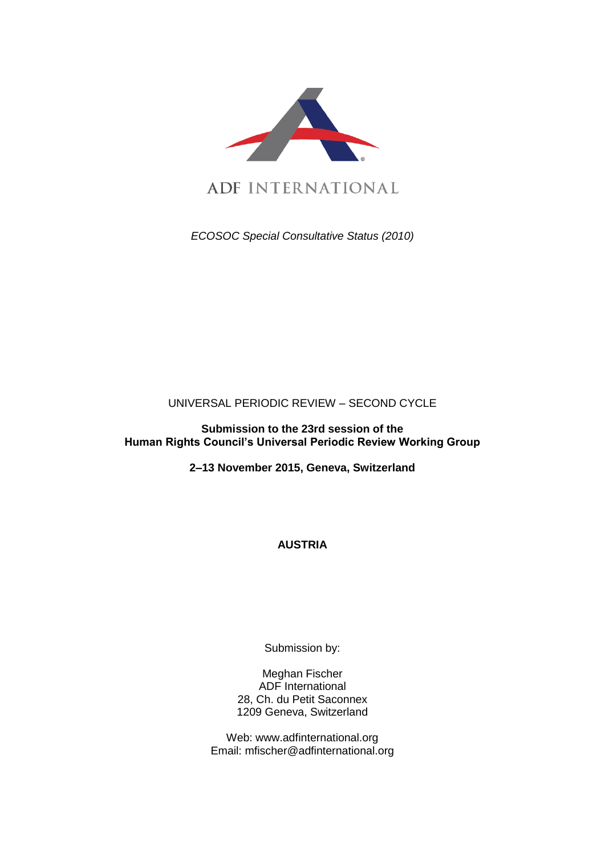

*ECOSOC Special Consultative Status (2010)*

UNIVERSAL PERIODIC REVIEW – SECOND CYCLE

**Submission to the 23rd session of the Human Rights Council's Universal Periodic Review Working Group** 

**2–13 November 2015, Geneva, Switzerland**

**AUSTRIA**

Submission by:

Meghan Fischer ADF International 28, Ch. du Petit Saconnex 1209 Geneva, Switzerland

Web: www.adfinternational.org Email: mfischer@adfinternational.org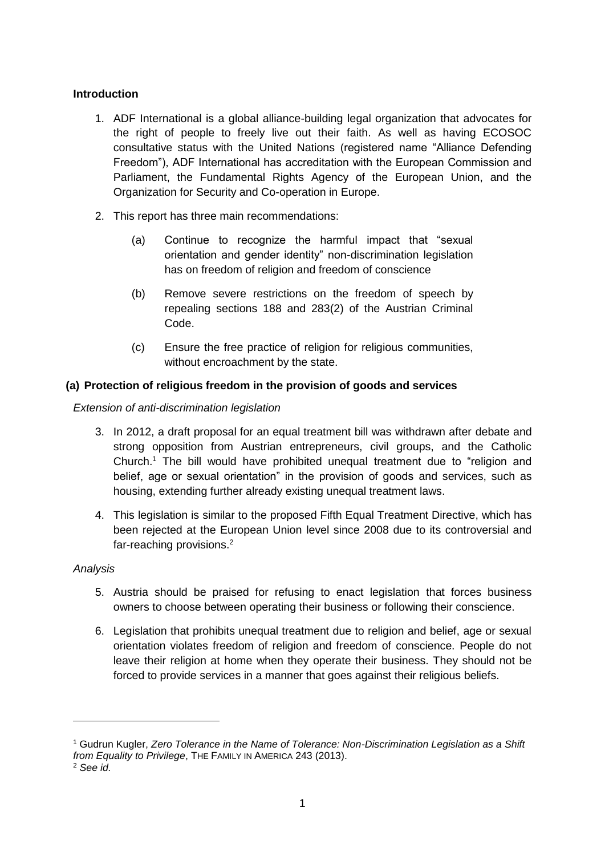# **Introduction**

- 1. ADF International is a global alliance-building legal organization that advocates for the right of people to freely live out their faith. As well as having ECOSOC consultative status with the United Nations (registered name "Alliance Defending Freedom"), ADF International has accreditation with the European Commission and Parliament, the Fundamental Rights Agency of the European Union, and the Organization for Security and Co-operation in Europe.
- 2. This report has three main recommendations:
	- (a) Continue to recognize the harmful impact that "sexual orientation and gender identity" non-discrimination legislation has on freedom of religion and freedom of conscience
	- (b) Remove severe restrictions on the freedom of speech by repealing sections 188 and 283(2) of the Austrian Criminal Code.
	- (c) Ensure the free practice of religion for religious communities, without encroachment by the state.

# **(a) Protection of religious freedom in the provision of goods and services**

*Extension of anti-discrimination legislation*

- 3. In 2012, a draft proposal for an equal treatment bill was withdrawn after debate and strong opposition from Austrian entrepreneurs, civil groups, and the Catholic Church. <sup>1</sup> The bill would have prohibited unequal treatment due to "religion and belief, age or sexual orientation" in the provision of goods and services, such as housing, extending further already existing unequal treatment laws.
- 4. This legislation is similar to the proposed Fifth Equal Treatment Directive, which has been rejected at the European Union level since 2008 due to its controversial and far-reaching provisions.<sup>2</sup>

## *Analysis*

-

- 5. Austria should be praised for refusing to enact legislation that forces business owners to choose between operating their business or following their conscience.
- 6. Legislation that prohibits unequal treatment due to religion and belief, age or sexual orientation violates freedom of religion and freedom of conscience. People do not leave their religion at home when they operate their business. They should not be forced to provide services in a manner that goes against their religious beliefs.

<sup>1</sup> Gudrun Kugler, *Zero Tolerance in the Name of Tolerance: Non-Discrimination Legislation as a Shift from Equality to Privilege*, THE FAMILY IN AMERICA 243 (2013). <sup>2</sup> *See id.*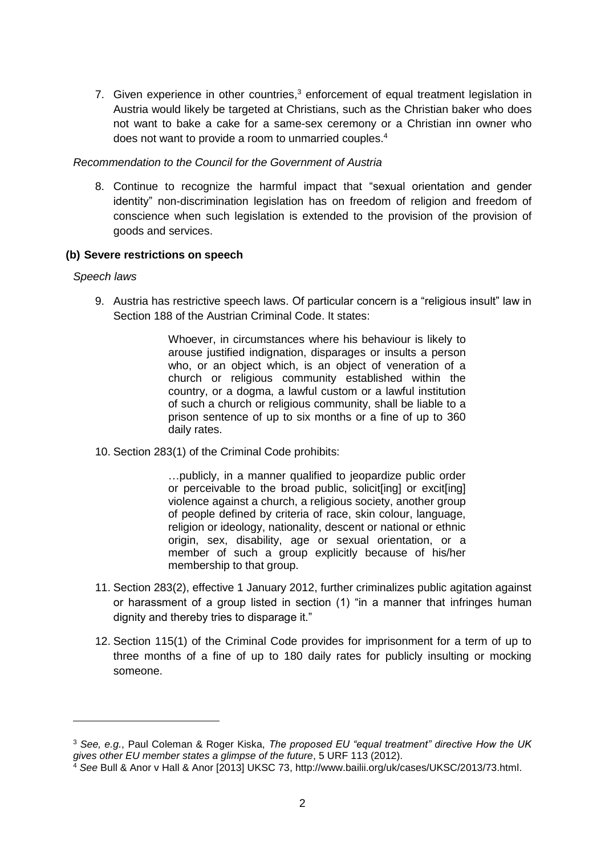7. Given experience in other countries,<sup>3</sup> enforcement of equal treatment legislation in Austria would likely be targeted at Christians, such as the Christian baker who does not want to bake a cake for a same-sex ceremony or a Christian inn owner who does not want to provide a room to unmarried couples. 4

#### *Recommendation to the Council for the Government of Austria*

8. Continue to recognize the harmful impact that "sexual orientation and gender identity" non-discrimination legislation has on freedom of religion and freedom of conscience when such legislation is extended to the provision of the provision of goods and services.

#### **(b) Severe restrictions on speech**

#### *Speech laws*

-

9. Austria has restrictive speech laws. Of particular concern is a "religious insult" law in Section 188 of the Austrian Criminal Code. It states:

> Whoever, in circumstances where his behaviour is likely to arouse justified indignation, disparages or insults a person who, or an object which, is an object of veneration of a church or religious community established within the country, or a dogma, a lawful custom or a lawful institution of such a church or religious community, shall be liable to a prison sentence of up to six months or a fine of up to 360 daily rates.

10. Section 283(1) of the Criminal Code prohibits:

…publicly, in a manner qualified to jeopardize public order or perceivable to the broad public, solicit[ing] or excit[ing] violence against a church, a religious society, another group of people defined by criteria of race, skin colour, language, religion or ideology, nationality, descent or national or ethnic origin, sex, disability, age or sexual orientation, or a member of such a group explicitly because of his/her membership to that group.

- 11. Section 283(2), effective 1 January 2012, further criminalizes public agitation against or harassment of a group listed in section (1) "in a manner that infringes human dignity and thereby tries to disparage it."
- 12. Section 115(1) of the Criminal Code provides for imprisonment for a term of up to three months of a fine of up to 180 daily rates for publicly insulting or mocking someone.

<sup>3</sup> *See, e.g.*, Paul Coleman & Roger Kiska, *The proposed EU "equal treatment" directive How the UK gives other EU member states a glimpse of the future*, 5 URF 113 (2012).

<sup>4</sup> *See* Bull & Anor v Hall & Anor [2013] UKSC 73, http://www.bailii.org/uk/cases/UKSC/2013/73.html.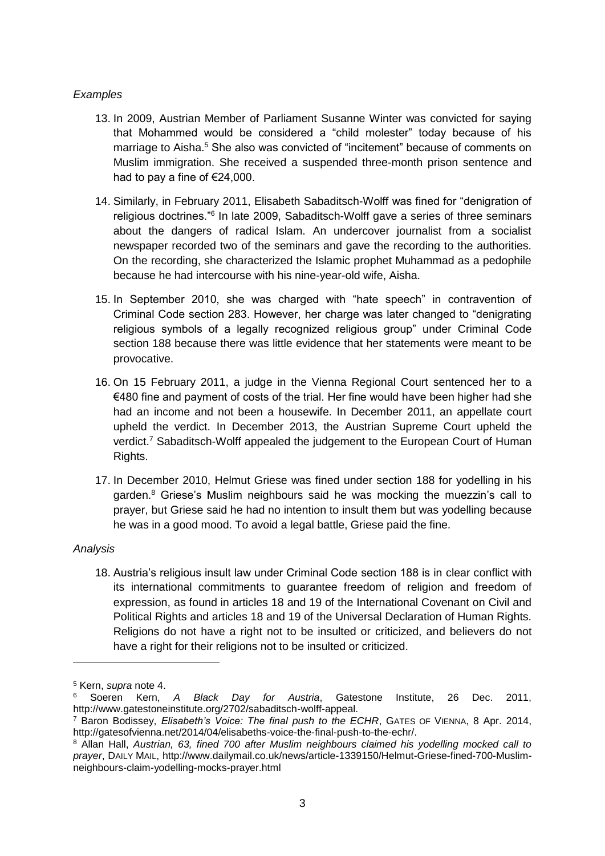## *Examples*

- 13. In 2009, Austrian Member of Parliament Susanne Winter was convicted for saying that Mohammed would be considered a "child molester" today because of his marriage to Aisha.<sup>5</sup> She also was convicted of "incitement" because of comments on Muslim immigration. She received a suspended three-month prison sentence and had to pay a fine of €24,000.
- 14. Similarly, in February 2011, Elisabeth Sabaditsch-Wolff was fined for "denigration of religious doctrines.<sup>"6</sup> In late 2009, Sabaditsch-Wolff gave a series of three seminars about the dangers of radical Islam. An undercover journalist from a socialist newspaper recorded two of the seminars and gave the recording to the authorities. On the recording, she characterized the Islamic prophet Muhammad as a pedophile because he had intercourse with his nine-year-old wife, Aisha.
- 15. In September 2010, she was charged with "hate speech" in contravention of Criminal Code section 283. However, her charge was later changed to "denigrating religious symbols of a legally recognized religious group" under Criminal Code section 188 because there was little evidence that her statements were meant to be provocative.
- 16. On 15 February 2011, a judge in the Vienna Regional Court sentenced her to a €480 fine and payment of costs of the trial. Her fine would have been higher had she had an income and not been a housewife. In December 2011, an appellate court upheld the verdict. In December 2013, the Austrian Supreme Court upheld the verdict.<sup>7</sup> Sabaditsch-Wolff appealed the judgement to the European Court of Human Rights.
- 17. In December 2010, Helmut Griese was fined under section 188 for yodelling in his garden.<sup>8</sup> Griese's Muslim neighbours said he was mocking the muezzin's call to prayer, but Griese said he had no intention to insult them but was yodelling because he was in a good mood. To avoid a legal battle, Griese paid the fine.

## *Analysis*

-

18. Austria's religious insult law under Criminal Code section 188 is in clear conflict with its international commitments to guarantee freedom of religion and freedom of expression, as found in articles 18 and 19 of the International Covenant on Civil and Political Rights and articles 18 and 19 of the Universal Declaration of Human Rights. Religions do not have a right not to be insulted or criticized, and believers do not have a right for their religions not to be insulted or criticized.

<sup>5</sup> Kern, *supra* note 4.

<sup>6</sup> Soeren Kern, *A Black Day for Austria*, Gatestone Institute, 26 Dec. 2011, http://www.gatestoneinstitute.org/2702/sabaditsch-wolff-appeal.

<sup>7</sup> Baron Bodissey, *Elisabeth's Voice: The final push to the ECHR*, GATES OF VIENNA, 8 Apr. 2014, http://gatesofvienna.net/2014/04/elisabeths-voice-the-final-push-to-the-echr/.

<sup>8</sup> Allan Hall, *Austrian, 63, fined 700 after Muslim neighbours claimed his yodelling mocked call to prayer*, DAILY MAIL, http://www.dailymail.co.uk/news/article-1339150/Helmut-Griese-fined-700-Muslimneighbours-claim-yodelling-mocks-prayer.html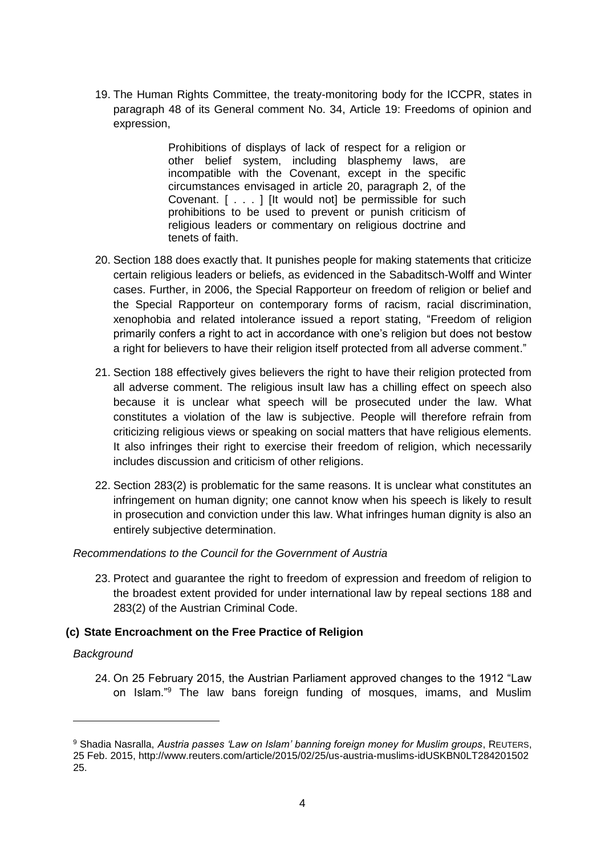19. The Human Rights Committee, the treaty-monitoring body for the ICCPR, states in paragraph 48 of its General comment No. 34, Article 19: Freedoms of opinion and expression,

> Prohibitions of displays of lack of respect for a religion or other belief system, including blasphemy laws, are incompatible with the Covenant, except in the specific circumstances envisaged in article 20, paragraph 2, of the Covenant. [ . . . ] [It would not] be permissible for such prohibitions to be used to prevent or punish criticism of religious leaders or commentary on religious doctrine and tenets of faith.

- 20. Section 188 does exactly that. It punishes people for making statements that criticize certain religious leaders or beliefs, as evidenced in the Sabaditsch-Wolff and Winter cases. Further, in 2006, the Special Rapporteur on freedom of religion or belief and the Special Rapporteur on contemporary forms of racism, racial discrimination, xenophobia and related intolerance issued a report stating, "Freedom of religion primarily confers a right to act in accordance with one's religion but does not bestow a right for believers to have their religion itself protected from all adverse comment."
- 21. Section 188 effectively gives believers the right to have their religion protected from all adverse comment. The religious insult law has a chilling effect on speech also because it is unclear what speech will be prosecuted under the law. What constitutes a violation of the law is subjective. People will therefore refrain from criticizing religious views or speaking on social matters that have religious elements. It also infringes their right to exercise their freedom of religion, which necessarily includes discussion and criticism of other religions.
- 22. Section 283(2) is problematic for the same reasons. It is unclear what constitutes an infringement on human dignity; one cannot know when his speech is likely to result in prosecution and conviction under this law. What infringes human dignity is also an entirely subjective determination.

## *Recommendations to the Council for the Government of Austria*

23. Protect and guarantee the right to freedom of expression and freedom of religion to the broadest extent provided for under international law by repeal sections 188 and 283(2) of the Austrian Criminal Code.

## **(c) State Encroachment on the Free Practice of Religion**

#### *Background*

-

24. On 25 February 2015, the Austrian Parliament approved changes to the 1912 "Law on Islam."<sup>9</sup> The law bans foreign funding of mosques, imams, and Muslim

<sup>9</sup> Shadia Nasralla, *Austria passes 'Law on Islam' banning foreign money for Muslim groups*, REUTERS, 25 Feb. 2015, http://www.reuters.com/article/2015/02/25/us-austria-muslims-idUSKBN0LT284201502 25.